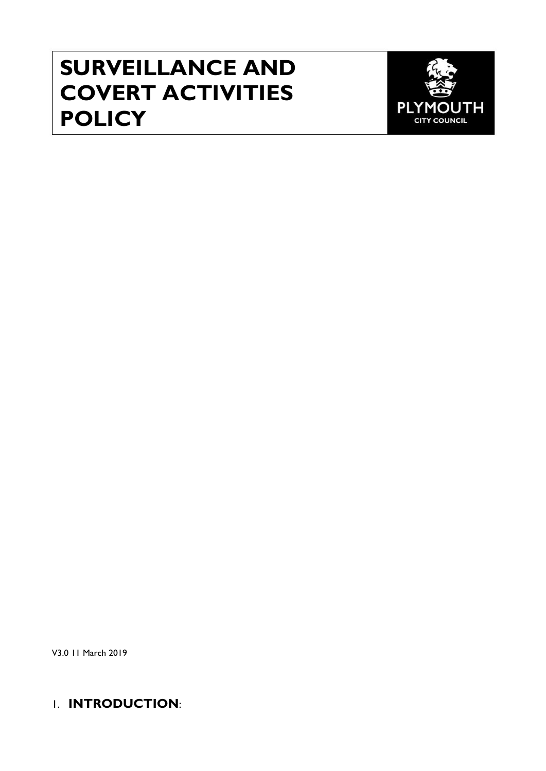# **SURVEILLANCE AND COVERT ACTIVITIES POLICY**



V3.0 11 March 2019

## 1. **INTRODUCTION**: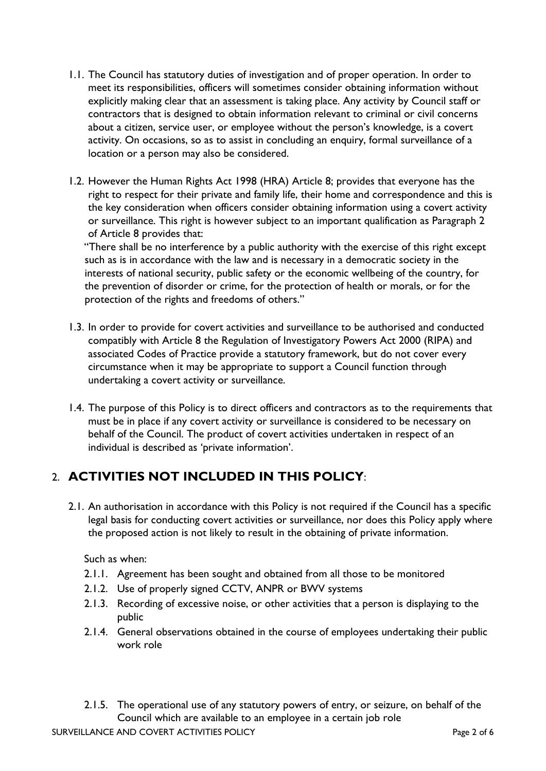- 1.1. The Council has statutory duties of investigation and of proper operation. In order to meet its responsibilities, officers will sometimes consider obtaining information without explicitly making clear that an assessment is taking place. Any activity by Council staff or contractors that is designed to obtain information relevant to criminal or civil concerns about a citizen, service user, or employee without the person's knowledge, is a covert activity. On occasions, so as to assist in concluding an enquiry, formal surveillance of a location or a person may also be considered.
- 1.2. However the Human Rights Act 1998 (HRA) Article 8; provides that everyone has the right to respect for their private and family life, their home and correspondence and this is the key consideration when officers consider obtaining information using a covert activity or surveillance. This right is however subject to an important qualification as Paragraph 2 of Article 8 provides that:

"There shall be no interference by a public authority with the exercise of this right except such as is in accordance with the law and is necessary in a democratic society in the interests of national security, public safety or the economic wellbeing of the country, for the prevention of disorder or crime, for the protection of health or morals, or for the protection of the rights and freedoms of others."

- 1.3. In order to provide for covert activities and surveillance to be authorised and conducted compatibly with Article 8 the Regulation of Investigatory Powers Act 2000 (RIPA) and associated Codes of Practice provide a statutory framework, but do not cover every circumstance when it may be appropriate to support a Council function through undertaking a covert activity or surveillance.
- 1.4. The purpose of this Policy is to direct officers and contractors as to the requirements that must be in place if any covert activity or surveillance is considered to be necessary on behalf of the Council. The product of covert activities undertaken in respect of an individual is described as 'private information'.

## 2. **ACTIVITIES NOT INCLUDED IN THIS POLICY**:

2.1. An authorisation in accordance with this Policy is not required if the Council has a specific legal basis for conducting covert activities or surveillance, nor does this Policy apply where the proposed action is not likely to result in the obtaining of private information.

Such as when:

- 2.1.1. Agreement has been sought and obtained from all those to be monitored
- 2.1.2. Use of properly signed CCTV, ANPR or BWV systems
- 2.1.3. Recording of excessive noise, or other activities that a person is displaying to the public
- 2.1.4. General observations obtained in the course of employees undertaking their public work role
- 2.1.5. The operational use of any statutory powers of entry, or seizure, on behalf of the Council which are available to an employee in a certain job role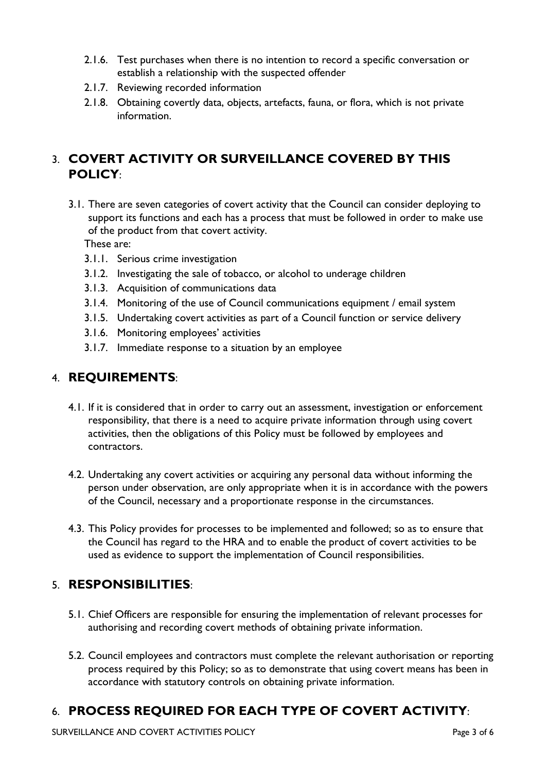- 2.1.6. Test purchases when there is no intention to record a specific conversation or establish a relationship with the suspected offender
- 2.1.7. Reviewing recorded information
- 2.1.8. Obtaining covertly data, objects, artefacts, fauna, or flora, which is not private information.

## 3. **COVERT ACTIVITY OR SURVEILLANCE COVERED BY THIS POLICY**:

3.1. There are seven categories of covert activity that the Council can consider deploying to support its functions and each has a process that must be followed in order to make use of the product from that covert activity.

These are:

- 3.1.1. Serious crime investigation
- 3.1.2. Investigating the sale of tobacco, or alcohol to underage children
- 3.1.3. Acquisition of communications data
- 3.1.4. Monitoring of the use of Council communications equipment / email system
- 3.1.5. Undertaking covert activities as part of a Council function or service delivery
- 3.1.6. Monitoring employees' activities
- 3.1.7. Immediate response to a situation by an employee

## 4. **REQUIREMENTS**:

- 4.1. If it is considered that in order to carry out an assessment, investigation or enforcement responsibility, that there is a need to acquire private information through using covert activities, then the obligations of this Policy must be followed by employees and contractors.
- 4.2. Undertaking any covert activities or acquiring any personal data without informing the person under observation, are only appropriate when it is in accordance with the powers of the Council, necessary and a proportionate response in the circumstances.
- 4.3. This Policy provides for processes to be implemented and followed; so as to ensure that the Council has regard to the HRA and to enable the product of covert activities to be used as evidence to support the implementation of Council responsibilities.

## 5. **RESPONSIBILITIES**:

- 5.1. Chief Officers are responsible for ensuring the implementation of relevant processes for authorising and recording covert methods of obtaining private information.
- 5.2. Council employees and contractors must complete the relevant authorisation or reporting process required by this Policy; so as to demonstrate that using covert means has been in accordance with statutory controls on obtaining private information.

# 6. **PROCESS REQUIRED FOR EACH TYPE OF COVERT ACTIVITY**: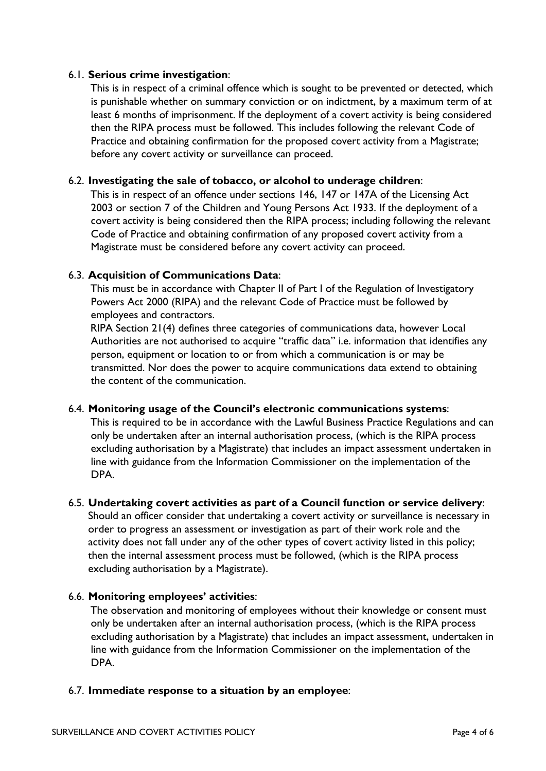#### 6.1. **Serious crime investigation**:

This is in respect of a criminal offence which is sought to be prevented or detected, which is punishable whether on summary conviction or on indictment, by a maximum term of at least 6 months of imprisonment. If the deployment of a covert activity is being considered then the RIPA process must be followed. This includes following the relevant Code of Practice and obtaining confirmation for the proposed covert activity from a Magistrate; before any covert activity or surveillance can proceed.

#### 6.2. **Investigating the sale of tobacco, or alcohol to underage children**:

This is in respect of an offence under sections 146, 147 or 147A of the Licensing Act 2003 or section 7 of the Children and Young Persons Act 1933. If the deployment of a covert activity is being considered then the RIPA process; including following the relevant Code of Practice and obtaining confirmation of any proposed covert activity from a Magistrate must be considered before any covert activity can proceed.

#### 6.3. **Acquisition of Communications Data**:

This must be in accordance with Chapter II of Part I of the Regulation of Investigatory Powers Act 2000 (RIPA) and the relevant Code of Practice must be followed by employees and contractors.

RIPA Section 21(4) defines three categories of communications data, however Local Authorities are not authorised to acquire "traffic data" i.e. information that identifies any person, equipment or location to or from which a communication is or may be transmitted. Nor does the power to acquire communications data extend to obtaining the content of the communication.

#### 6.4. **Monitoring usage of the Council's electronic communications systems**:

This is required to be in accordance with the Lawful Business Practice Regulations and can only be undertaken after an internal authorisation process, (which is the RIPA process excluding authorisation by a Magistrate) that includes an impact assessment undertaken in line with guidance from the Information Commissioner on the implementation of the DPA.

#### 6.5. **Undertaking covert activities as part of a Council function or service delivery**:

Should an officer consider that undertaking a covert activity or surveillance is necessary in order to progress an assessment or investigation as part of their work role and the activity does not fall under any of the other types of covert activity listed in this policy; then the internal assessment process must be followed, (which is the RIPA process excluding authorisation by a Magistrate).

#### 6.6. **Monitoring employees' activities**:

The observation and monitoring of employees without their knowledge or consent must only be undertaken after an internal authorisation process, (which is the RIPA process excluding authorisation by a Magistrate) that includes an impact assessment, undertaken in line with guidance from the Information Commissioner on the implementation of the DPA.

#### 6.7. **Immediate response to a situation by an employee**: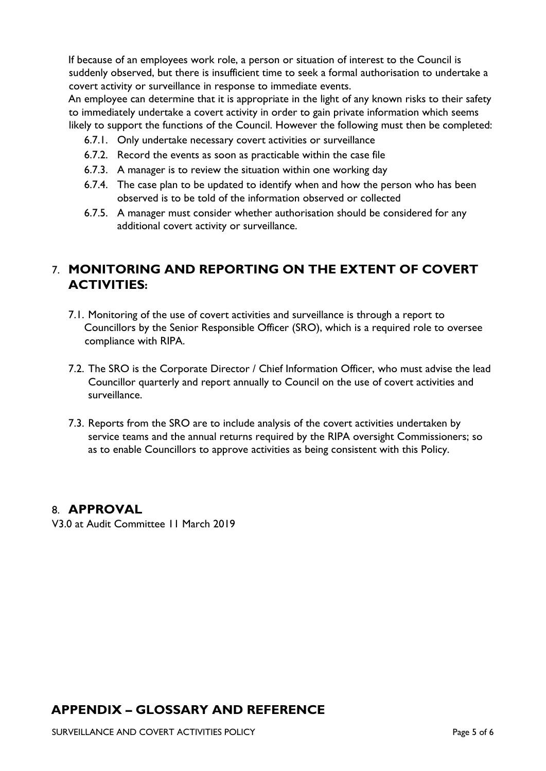If because of an employees work role, a person or situation of interest to the Council is suddenly observed, but there is insufficient time to seek a formal authorisation to undertake a covert activity or surveillance in response to immediate events.

An employee can determine that it is appropriate in the light of any known risks to their safety to immediately undertake a covert activity in order to gain private information which seems likely to support the functions of the Council. However the following must then be completed:

- 6.7.1. Only undertake necessary covert activities or surveillance
- 6.7.2. Record the events as soon as practicable within the case file
- 6.7.3. A manager is to review the situation within one working day
- 6.7.4. The case plan to be updated to identify when and how the person who has been observed is to be told of the information observed or collected
- 6.7.5. A manager must consider whether authorisation should be considered for any additional covert activity or surveillance.

## 7. **MONITORING AND REPORTING ON THE EXTENT OF COVERT ACTIVITIES:**

- 7.1. Monitoring of the use of covert activities and surveillance is through a report to Councillors by the Senior Responsible Officer (SRO), which is a required role to oversee compliance with RIPA.
- 7.2. The SRO is the Corporate Director / Chief Information Officer, who must advise the lead Councillor quarterly and report annually to Council on the use of covert activities and surveillance.
- 7.3. Reports from the SRO are to include analysis of the covert activities undertaken by service teams and the annual returns required by the RIPA oversight Commissioners; so as to enable Councillors to approve activities as being consistent with this Policy.

### 8. **APPROVAL**

V3.0 at Audit Committee 11 March 2019

## **APPENDIX – GLOSSARY AND REFERENCE**